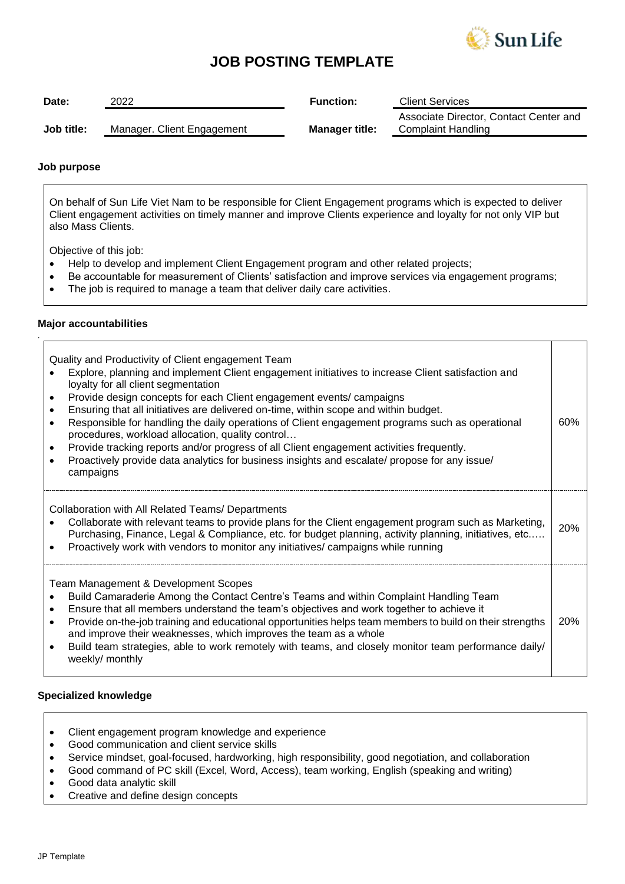

# **JOB POSTING TEMPLATE**

| Date:      | 2022                       | <b>Function:</b>      | <b>Client Services</b>                                       |
|------------|----------------------------|-----------------------|--------------------------------------------------------------|
| Job title: | Manager. Client Engagement | <b>Manager title:</b> | Associate Director, Contact Center and<br>Complaint Handling |

### **Job purpose**

On behalf of Sun Life Viet Nam to be responsible for Client Engagement programs which is expected to deliver Client engagement activities on timely manner and improve Clients experience and loyalty for not only VIP but also Mass Clients.

Objective of this job:

- Help to develop and implement Client Engagement program and other related projects;
- Be accountable for measurement of Clients' satisfaction and improve services via engagement programs;
- The job is required to manage a team that deliver daily care activities.

### **Major accountabilities**

*.*

Quality and Productivity of Client engagement Team

- Explore, planning and implement Client engagement initiatives to increase Client satisfaction and loyalty for all client segmentation
- Provide design concepts for each Client engagement events/ campaigns
- Ensuring that all initiatives are delivered on-time, within scope and within budget.
- Responsible for handling the daily operations of Client engagement programs such as operational procedures, workload allocation, quality control… 60%
- Provide tracking reports and/or progress of all Client engagement activities frequently.
- Proactively provide data analytics for business insights and escalate/ propose for any issue/ campaigns

Collaboration with All Related Teams/ Departments

| Collaborate with relevant teams to provide plans for the Client engagement program such as Marketing, $\vert$ 20% |  |
|-------------------------------------------------------------------------------------------------------------------|--|
| Purchasing, Finance, Legal & Compliance, etc. for budget planning, activity planning, initiatives, etc            |  |
| Line and the company of the company of the company of the company of the company of the company of the company    |  |

• Proactively work with vendors to monitor any initiatives/ campaigns while running

Team Management & Development Scopes

- Build Camaraderie Among the Contact Centre's Teams and within Complaint Handling Team
- Ensure that all members understand the team's objectives and work together to achieve it
- Provide on-the-job training and educational opportunities helps team members to build on their strengths and improve their weaknesses, which improves the team as a whole 20%
- Build team strategies, able to work remotely with teams, and closely monitor team performance daily/ weekly/ monthly

## **Specialized knowledge**

- Client engagement program knowledge and experience
- Good communication and client service skills
- Service mindset, goal-focused, hardworking, high responsibility, good negotiation, and collaboration
- Good command of PC skill (Excel, Word, Access), team working, English (speaking and writing)
- Good data analytic skill
- Creative and define design concepts